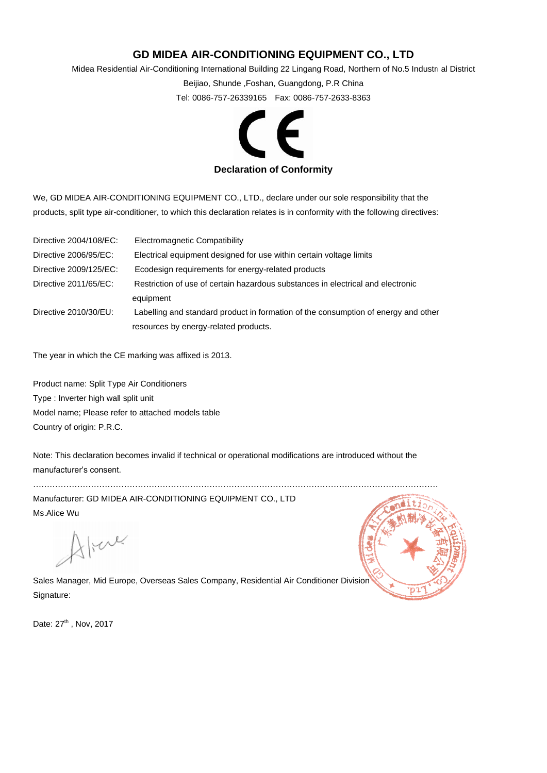## **GD MIDEA AIR-CONDITIONING EQUIPMENT CO., LTD**

Midea Residential Air-Conditioning International Building 22 Lingang Road, Northern of No.5 Industrı al District

Beijiao, Shunde ,Foshan, Guangdong, P.R China

Tel: 0086-757-26339165 Fax: 0086-757-2633-8363



We, GD MIDEA AIR-CONDITIONING EQUIPMENT CO., LTD., declare under our sole responsibility that the products, split type air-conditioner, to which this declaration relates is in conformity with the following directives:

| Directive 2004/108/EC: | Electromagnetic Compatibility                                                      |  |
|------------------------|------------------------------------------------------------------------------------|--|
| Directive 2006/95/EC:  | Electrical equipment designed for use within certain voltage limits                |  |
| Directive 2009/125/EC: | Ecodesign requirements for energy-related products                                 |  |
| Directive 2011/65/EC:  | Restriction of use of certain hazardous substances in electrical and electronic    |  |
|                        | equipment                                                                          |  |
| Directive 2010/30/EU:  | Labelling and standard product in formation of the consumption of energy and other |  |
|                        | resources by energy-related products.                                              |  |

The year in which the CE marking was affixed is 2013.

Product name: Split Type Air Conditioners Type : Inverter high wall split unit Model name; Please refer to attached models table Country of origin: P.R.C.

Note: This declaration becomes invalid if technical or operational modifications are introduced without the manufacturer's consent.

Manufacturer: GD MIDEA AIR-CONDITIONING EQUIPMENT CO., LTD Ms.Alice Wu

strace

…………………………………………………………………………………………………………………………………

Sales Manager, Mid Europe, Overseas Sales Company, Residential Air Conditioner Division Signature:

Date: 27<sup>th</sup>, Nov, 2017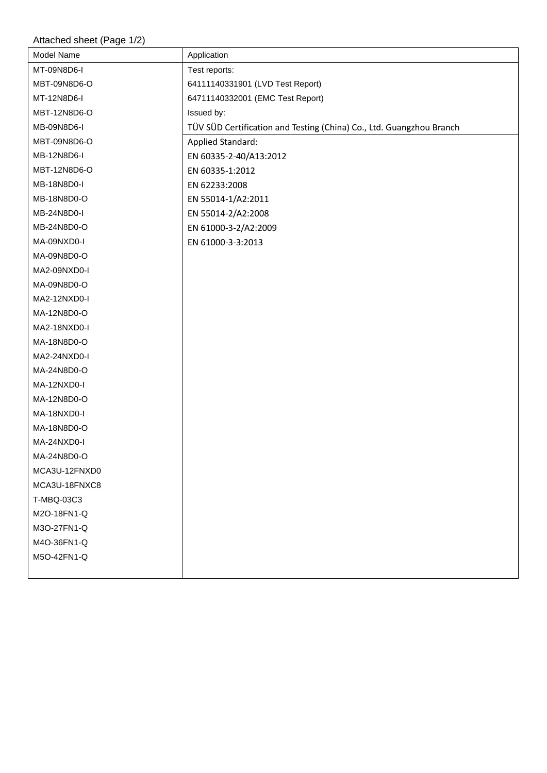## Attached sheet (Page 1/2)

| Model Name    | Application                                                          |
|---------------|----------------------------------------------------------------------|
| MT-09N8D6-I   | Test reports:                                                        |
| MBT-09N8D6-O  | 64111140331901 (LVD Test Report)                                     |
| MT-12N8D6-I   | 64711140332001 (EMC Test Report)                                     |
| MBT-12N8D6-O  | Issued by:                                                           |
| MB-09N8D6-I   | TÜV SÜD Certification and Testing (China) Co., Ltd. Guangzhou Branch |
| MBT-09N8D6-O  | <b>Applied Standard:</b>                                             |
| MB-12N8D6-I   | EN 60335-2-40/A13:2012                                               |
| MBT-12N8D6-O  | EN 60335-1:2012                                                      |
| MB-18N8D0-I   | EN 62233:2008                                                        |
| MB-18N8D0-O   | EN 55014-1/A2:2011                                                   |
| MB-24N8D0-I   | EN 55014-2/A2:2008                                                   |
| MB-24N8D0-O   | EN 61000-3-2/A2:2009                                                 |
| MA-09NXD0-I   | EN 61000-3-3:2013                                                    |
| MA-09N8D0-O   |                                                                      |
| MA2-09NXD0-I  |                                                                      |
| MA-09N8D0-O   |                                                                      |
| MA2-12NXD0-I  |                                                                      |
| MA-12N8D0-O   |                                                                      |
| MA2-18NXD0-I  |                                                                      |
| MA-18N8D0-O   |                                                                      |
| MA2-24NXD0-I  |                                                                      |
| MA-24N8D0-O   |                                                                      |
| MA-12NXD0-I   |                                                                      |
| MA-12N8D0-O   |                                                                      |
| MA-18NXD0-I   |                                                                      |
| MA-18N8D0-O   |                                                                      |
| MA-24NXD0-I   |                                                                      |
| MA-24N8D0-O   |                                                                      |
| MCA3U-12FNXD0 |                                                                      |
| MCA3U-18FNXC8 |                                                                      |
| T-MBQ-03C3    |                                                                      |
| M2O-18FN1-Q   |                                                                      |
| M3O-27FN1-Q   |                                                                      |
| M4O-36FN1-Q   |                                                                      |
| M5O-42FN1-Q   |                                                                      |
|               |                                                                      |